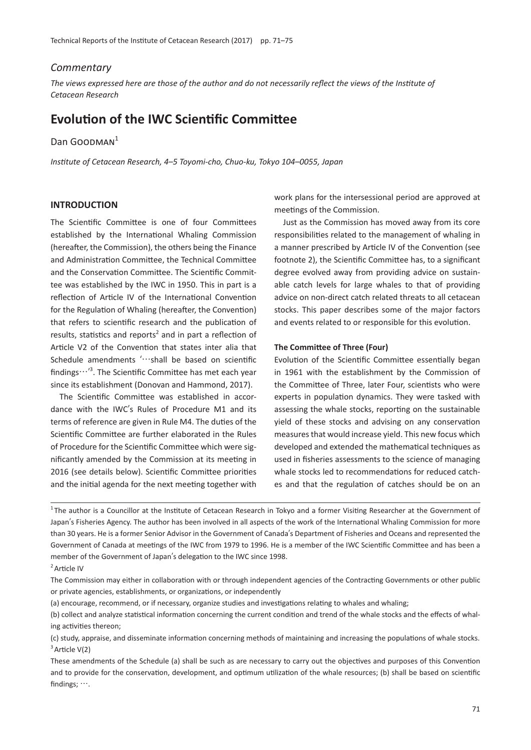### *Commentary*

*The views expressed here are those of the author and do not necessarily reflect the views of the Institute of Cetacean Research*

# **Evolution of the IWC Scientific Committee**

## Dan GOODMAN<sup>1</sup>

*Institute of Cetacean Research, 4*–*5 Toyomi-cho, Chuo-ku, Tokyo 104*–*0055, Japan*

### **INTRODUCTION**

The Scientific Committee is one of four Committees established by the International Whaling Commission (hereafter, the Commission), the others being the Finance and Administration Committee, the Technical Committee and the Conservation Committee. The Scientific Committee was established by the IWC in 1950. This in part is a reflection of Article IV of the International Convention for the Regulation of Whaling (hereafter, the Convention) that refers to scientific research and the publication of results, statistics and reports<sup>2</sup> and in part a reflection of Article V2 of the Convention that states inter alia that Schedule amendments '···shall be based on scientific findings…'<sup>3</sup> . The Scientific Committee has met each year since its establishment (Donovan and Hammond, 2017).

The Scientific Committee was established in accordance with the IWC's Rules of Procedure M1 and its terms of reference are given in Rule M4. The duties of the Scientific Committee are further elaborated in the Rules of Procedure for the Scientific Committee which were significantly amended by the Commission at its meeting in 2016 (see details below). Scientific Committee priorities and the initial agenda for the next meeting together with

work plans for the intersessional period are approved at meetings of the Commission.

Just as the Commission has moved away from its core responsibilities related to the management of whaling in a manner prescribed by Article IV of the Convention (see footnote 2), the Scientific Committee has, to a significant degree evolved away from providing advice on sustainable catch levels for large whales to that of providing advice on non-direct catch related threats to all cetacean stocks. This paper describes some of the major factors and events related to or responsible for this evolution.

#### **The Committee of Three (Four)**

Evolution of the Scientific Committee essentially began in 1961 with the establishment by the Commission of the Committee of Three, later Four, scientists who were experts in population dynamics. They were tasked with assessing the whale stocks, reporting on the sustainable yield of these stocks and advising on any conservation measures that would increase yield. This new focus which developed and extended the mathematical techniques as used in fisheries assessments to the science of managing whale stocks led to recommendations for reduced catches and that the regulation of catches should be on an

<sup>1</sup>The author is a Councillor at the Institute of Cetacean Research in Tokyo and a former Visiting Researcher at the Government of Japan's Fisheries Agency. The author has been involved in all aspects of the work of the International Whaling Commission for more than 30 years. He is a former Senior Advisor in the Government of Canada's Department of Fisheries and Oceans and represented the Government of Canada at meetings of the IWC from 1979 to 1996. He is a member of the IWC Scientific Committee and has been a member of the Government of Japan's delegation to the IWC since 1998.

<sup>&</sup>lt;sup>2</sup> Article IV

The Commission may either in collaboration with or through independent agencies of the Contracting Governments or other public or private agencies, establishments, or organizations, or independently

<sup>(</sup>a) encourage, recommend, or if necessary, organize studies and investigations relating to whales and whaling;

<sup>(</sup>b) collect and analyze statistical information concerning the current condition and trend of the whale stocks and the effects of whaling activities thereon;

<sup>(</sup>c) study, appraise, and disseminate information concerning methods of maintaining and increasing the populations of whale stocks.  $3$  Article V(2)

These amendments of the Schedule (a) shall be such as are necessary to carry out the objectives and purposes of this Convention and to provide for the conservation, development, and optimum utilization of the whale resources; (b) shall be based on scientific findings; ….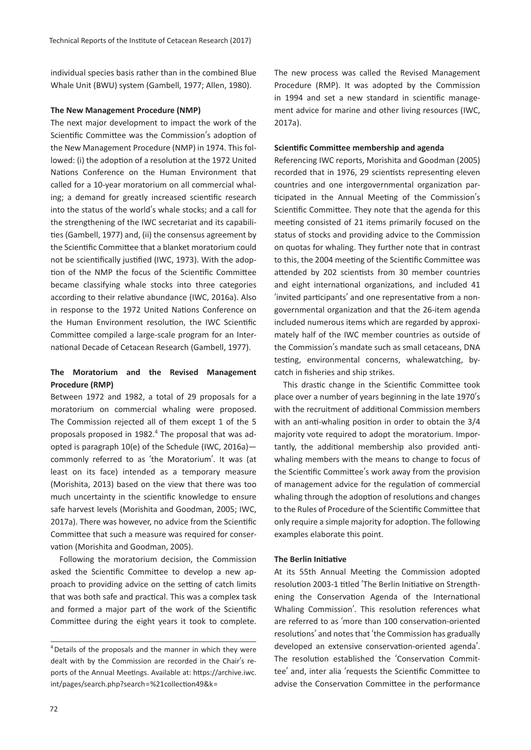individual species basis rather than in the combined Blue Whale Unit (BWU) system (Gambell, 1977; Allen, 1980).

#### **The New Management Procedure (NMP)**

The next major development to impact the work of the Scientific Committee was the Commission's adoption of the New Management Procedure (NMP) in 1974. This followed: (i) the adoption of a resolution at the 1972 United Nations Conference on the Human Environment that called for a 10-year moratorium on all commercial whaling; a demand for greatly increased scientific research into the status of the world's whale stocks; and a call for the strengthening of the IWC secretariat and its capabilities (Gambell, 1977) and, (ii) the consensus agreement by the Scientific Committee that a blanket moratorium could not be scientifically justified (IWC, 1973). With the adoption of the NMP the focus of the Scientific Committee became classifying whale stocks into three categories according to their relative abundance (IWC, 2016a). Also in response to the 1972 United Nations Conference on the Human Environment resolution, the IWC Scientific Committee compiled a large-scale program for an International Decade of Cetacean Research (Gambell, 1977).

## **The Moratorium and the Revised Management Procedure (RMP)**

Between 1972 and 1982, a total of 29 proposals for a moratorium on commercial whaling were proposed. The Commission rejected all of them except 1 of the 5 proposals proposed in 1982. $<sup>4</sup>$  The proposal that was ad-</sup> opted is paragraph 10(e) of the Schedule (IWC, 2016a) commonly referred to as ʻthe Moratorium'. It was (at least on its face) intended as a temporary measure (Morishita, 2013) based on the view that there was too much uncertainty in the scientific knowledge to ensure safe harvest levels (Morishita and Goodman, 2005; IWC, 2017a). There was however, no advice from the Scientific Committee that such a measure was required for conservation (Morishita and Goodman, 2005).

Following the moratorium decision, the Commission asked the Scientific Committee to develop a new approach to providing advice on the setting of catch limits that was both safe and practical. This was a complex task and formed a major part of the work of the Scientific Committee during the eight years it took to complete.

The new process was called the Revised Management Procedure (RMP). It was adopted by the Commission in 1994 and set a new standard in scientific management advice for marine and other living resources (IWC, 2017a).

#### **Scientific Committee membership and agenda**

Referencing IWC reports, Morishita and Goodman (2005) recorded that in 1976, 29 scientists representing eleven countries and one intergovernmental organization participated in the Annual Meeting of the Commission's Scientific Committee. They note that the agenda for this meeting consisted of 21 items primarily focused on the status of stocks and providing advice to the Commission on quotas for whaling. They further note that in contrast to this, the 2004 meeting of the Scientific Committee was attended by 202 scientists from 30 member countries and eight international organizations, and included 41 ʻinvited participants' and one representative from a nongovernmental organization and that the 26-item agenda included numerous items which are regarded by approximately half of the IWC member countries as outside of the Commission's mandate such as small cetaceans, DNA testing, environmental concerns, whalewatching, bycatch in fisheries and ship strikes.

This drastic change in the Scientific Committee took place over a number of years beginning in the late 1970's with the recruitment of additional Commission members with an anti-whaling position in order to obtain the 3/4 majority vote required to adopt the moratorium. Importantly, the additional membership also provided antiwhaling members with the means to change to focus of the Scientific Committee's work away from the provision of management advice for the regulation of commercial whaling through the adoption of resolutions and changes to the Rules of Procedure of the Scientific Committee that only require a simple majority for adoption. The following examples elaborate this point.

#### **The Berlin Initiative**

At its 55th Annual Meeting the Commission adopted resolution 2003-1 titled ʻThe Berlin Initiative on Strengthening the Conservation Agenda of the International Whaling Commission'. This resolution references what are referred to as ʻmore than 100 conservation-oriented resolutions' and notes that ʻthe Commission has gradually developed an extensive conservation-oriented agenda'. The resolution established the ʻConservation Committee' and, inter alia ʻrequests the Scientific Committee to advise the Conservation Committee in the performance

<sup>&</sup>lt;sup>4</sup> Details of the proposals and the manner in which they were dealt with by the Commission are recorded in the Chair's reports of the Annual Meetings. Available at: https://archive.iwc. int/pages/search.php?search=%21collection49&k=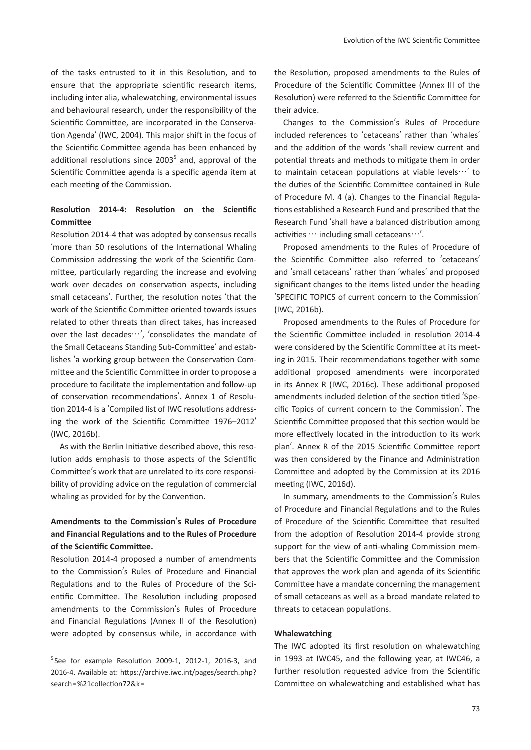of the tasks entrusted to it in this Resolution, and to ensure that the appropriate scientific research items, including inter alia, whalewatching, environmental issues and behavioural research, under the responsibility of the Scientific Committee, are incorporated in the Conservation Agenda' (IWC, 2004). This major shift in the focus of the Scientific Committee agenda has been enhanced by additional resolutions since 2003<sup>5</sup> and, approval of the Scientific Committee agenda is a specific agenda item at each meeting of the Commission.

## **Resolution 2014-4: Resolution on the Scientific Committee**

Resolution 2014-4 that was adopted by consensus recalls ʻmore than 50 resolutions of the International Whaling Commission addressing the work of the Scientific Committee, particularly regarding the increase and evolving work over decades on conservation aspects, including small cetaceans'. Further, the resolution notes ʻthat the work of the Scientific Committee oriented towards issues related to other threats than direct takes, has increased over the last decades…', ʻconsolidates the mandate of the Small Cetaceans Standing Sub-Committee' and establishes ʻa working group between the Conservation Committee and the Scientific Committee in order to propose a procedure to facilitate the implementation and follow-up of conservation recommendations'. Annex 1 of Resolution 2014-4 is a ʻCompiled list of IWC resolutions addressing the work of the Scientific Committee 1976–2012' (IWC, 2016b).

As with the Berlin Initiative described above, this resolution adds emphasis to those aspects of the Scientific Committee's work that are unrelated to its core responsibility of providing advice on the regulation of commercial whaling as provided for by the Convention.

# **Amendments to the Commission**'**s Rules of Procedure and Financial Regulations and to the Rules of Procedure of the Scientific Committee.**

Resolution 2014-4 proposed a number of amendments to the Commission's Rules of Procedure and Financial Regulations and to the Rules of Procedure of the Scientific Committee. The Resolution including proposed amendments to the Commission's Rules of Procedure and Financial Regulations (Annex II of the Resolution) were adopted by consensus while, in accordance with

the Resolution, proposed amendments to the Rules of Procedure of the Scientific Committee (Annex III of the Resolution) were referred to the Scientific Committee for their advice.

Changes to the Commission's Rules of Procedure included references to ʻcetaceans' rather than ʻwhales' and the addition of the words ʻshall review current and potential threats and methods to mitigate them in order to maintain cetacean populations at viable levels…' to the duties of the Scientific Committee contained in Rule of Procedure M. 4 (a). Changes to the Financial Regulations established a Research Fund and prescribed that the Research Fund ʻshall have a balanced distribution among activities  $\cdots$  including small cetaceans $\cdots'$ .

Proposed amendments to the Rules of Procedure of the Scientific Committee also referred to ʻcetaceans' and ʻsmall cetaceans' rather than ʻwhales' and proposed significant changes to the items listed under the heading ʻSPECIFIC TOPICS of current concern to the Commission' (IWC, 2016b).

Proposed amendments to the Rules of Procedure for the Scientific Committee included in resolution 2014-4 were considered by the Scientific Committee at its meeting in 2015. Their recommendations together with some additional proposed amendments were incorporated in its Annex R (IWC, 2016c). These additional proposed amendments included deletion of the section titled ʻSpecific Topics of current concern to the Commission'. The Scientific Committee proposed that this section would be more effectively located in the introduction to its work plan'. Annex R of the 2015 Scientific Committee report was then considered by the Finance and Administration Committee and adopted by the Commission at its 2016 meeting (IWC, 2016d).

In summary, amendments to the Commission's Rules of Procedure and Financial Regulations and to the Rules of Procedure of the Scientific Committee that resulted from the adoption of Resolution 2014-4 provide strong support for the view of anti-whaling Commission members that the Scientific Committee and the Commission that approves the work plan and agenda of its Scientific Committee have a mandate concerning the management of small cetaceans as well as a broad mandate related to threats to cetacean populations.

#### **Whalewatching**

The IWC adopted its first resolution on whalewatching in 1993 at IWC45, and the following year, at IWC46, a further resolution requested advice from the Scientific Committee on whalewatching and established what has

<sup>&</sup>lt;sup>5</sup>See for example Resolution 2009-1, 2012-1, 2016-3, and 2016-4. Available at: https://archive.iwc.int/pages/search.php? search=%21collection72&k=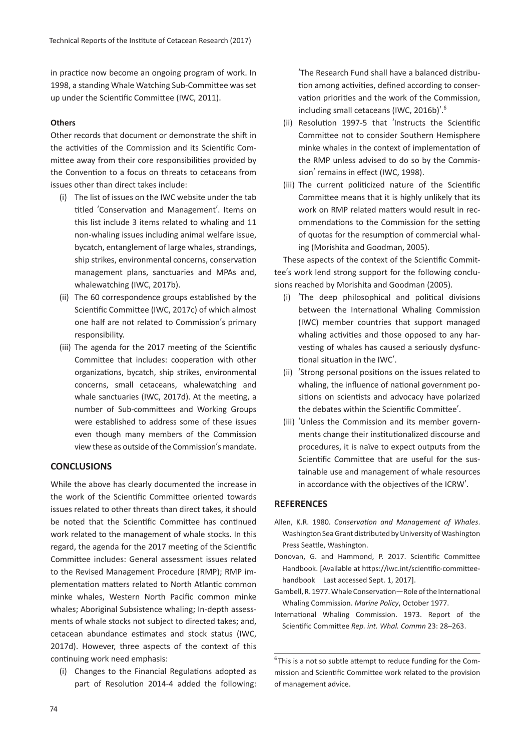in practice now become an ongoing program of work. In 1998, a standing Whale Watching Sub-Committee was set up under the Scientific Committee (IWC, 2011).

### **Others**

Other records that document or demonstrate the shift in the activities of the Commission and its Scientific Committee away from their core responsibilities provided by the Convention to a focus on threats to cetaceans from issues other than direct takes include:

- (i) The list of issues on the IWC website under the tab titled ʻConservation and Management'. Items on this list include 3 items related to whaling and 11 non-whaling issues including animal welfare issue, bycatch, entanglement of large whales, strandings, ship strikes, environmental concerns, conservation management plans, sanctuaries and MPAs and, whalewatching (IWC, 2017b).
- (ii) The 60 correspondence groups established by the Scientific Committee (IWC, 2017c) of which almost one half are not related to Commission's primary responsibility.
- (iii) The agenda for the 2017 meeting of the Scientific Committee that includes: cooperation with other organizations, bycatch, ship strikes, environmental concerns, small cetaceans, whalewatching and whale sanctuaries (IWC, 2017d). At the meeting, a number of Sub-committees and Working Groups were established to address some of these issues even though many members of the Commission view these as outside of the Commission's mandate.

## **CONCLUSIONS**

While the above has clearly documented the increase in the work of the Scientific Committee oriented towards issues related to other threats than direct takes, it should be noted that the Scientific Committee has continued work related to the management of whale stocks. In this regard, the agenda for the 2017 meeting of the Scientific Committee includes: General assessment issues related to the Revised Management Procedure (RMP); RMP implementation matters related to North Atlantic common minke whales, Western North Pacific common minke whales; Aboriginal Subsistence whaling; In-depth assessments of whale stocks not subject to directed takes; and, cetacean abundance estimates and stock status (IWC, 2017d). However, three aspects of the context of this continuing work need emphasis:

(i) Changes to the Financial Regulations adopted as part of Resolution 2014-4 added the following:

ʻThe Research Fund shall have a balanced distribution among activities, defined according to conservation priorities and the work of the Commission, including small cetaceans (IWC, 2016b)'. 6

- (ii) Resolution 1997-5 that ʻInstructs the Scientific Committee not to consider Southern Hemisphere minke whales in the context of implementation of the RMP unless advised to do so by the Commission' remains in effect (IWC, 1998).
- (iii) The current politicized nature of the Scientific Committee means that it is highly unlikely that its work on RMP related matters would result in recommendations to the Commission for the setting of quotas for the resumption of commercial whaling (Morishita and Goodman, 2005).

These aspects of the context of the Scientific Committee's work lend strong support for the following conclusions reached by Morishita and Goodman (2005).

- (i) ʻThe deep philosophical and political divisions between the International Whaling Commission (IWC) member countries that support managed whaling activities and those opposed to any harvesting of whales has caused a seriously dysfunctional situation in the IWC'.
- (ii) ʻStrong personal positions on the issues related to whaling, the influence of national government positions on scientists and advocacy have polarized the debates within the Scientific Committee'.
- (iii) ʻUnless the Commission and its member governments change their institutionalized discourse and procedures, it is naïve to expect outputs from the Scientific Committee that are useful for the sustainable use and management of whale resources in accordance with the objectives of the ICRW'.

### **REFERENCES**

- Allen, K.R. 1980. *Conservation and Management of Whales*. Washington Sea Grant distributed by University of Washington Press Seattle, Washington.
- Donovan, G. and Hammond, P. 2017. Scientific Committee Handbook. [Available at https://iwc.int/scientific-committeehandbook Last accessed Sept. 1, 2017].
- Gambell, R. 1977. Whale Conservation—Role of the International Whaling Commission. *Marine Policy*, October 1977.
- International Whaling Commission. 1973. Report of the Scientific Committee *Rep. int. Whal. Commn* 23: 28–263.

6 This is a not so subtle attempt to reduce funding for the Commission and Scientific Committee work related to the provision of management advice.